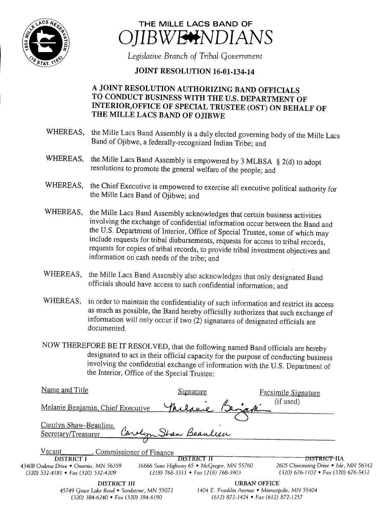



Legislative Branch of Tribal Government

## JOINT RESOLUTION 16-01-134-14

## A JOINT RESOLUTION AUTHORIZING BAND OFFICIALS TO CONDUCT BUSINESS WITH THE U.S. DEPARTMENT OF INTERIOR,OFFICE OF SPECIAL TRUSTEE (OST) ON BEHALF OF THE MILLE LACS BAND OF OJIBWE

- WHEREAS, the Mille Lacs Band Assembly is <sup>a</sup> duly elected governing body of the Mille Lacs Band of Ojibwe, a federally-recognized Indian Tribe; and
- WHEREAS, the Mille Lacs Band Assembly is empowered by 3 MLBSA  $\S$  2(d) to adopt resolutions to promote the general welfare of the people; and
- WHEREAS, the Chief Executive is empowered to exercise all executive political authority for the Mille Lacs Band of Ojibwe; and
- WHEREAS, the Mille Lacs Band Assembly acknowledges that certain business activities involving the exchange of confidential information occur between the Band and the U.S. Department of Interior, Office of Special Trustee, some of which may include requests for tribal disbursements, requests for access to tribal records, requests for copies of tribal records, to provide tribal investment objectives and information on cash needs of the tribe; and
- WHEREAS, the Mille Lacs Band Assembly also acknowledges that only designated Band officials should have access to such confidential information; and
- WHEREAS, in order to maintain the confidentiality of such information and restrict its access as much as possible, the Band hereby officially authorizes that such exchange of information will only occur if two (2) signatures of designated officials are documented.
- NOW THEREFORE BE IT RESOLVED, that the following named Band officials are hereby designated to act in their official capacity for the purpose of conducting business involving the confidential exchange of information with the U.S. Department of the Interior, Office of the Special Trustee:

| Name and Title                                |                                             | Signature                                       | <b>Facsimile Signature</b>              |                                       |  |
|-----------------------------------------------|---------------------------------------------|-------------------------------------------------|-----------------------------------------|---------------------------------------|--|
| Melanie Benjamin, Chief Executive             |                                             |                                                 | (if used)                               |                                       |  |
| Carolyn Shaw-Beaulieu,<br>Secretary/Treasurer | Carolyn Stran Beauleen                      |                                                 |                                         |                                       |  |
|                                               |                                             |                                                 |                                         |                                       |  |
| Vacant                                        | Commissioner of Finance                     |                                                 |                                         |                                       |  |
| DISTRICT I                                    | DISTRICT II                                 |                                                 | <del>DISTRICT-</del> IIA                |                                       |  |
| 43408 Oodena Drive • Onamia, MN 56359         | 36666 State Highway 65 • McGregor, MN 55760 |                                                 | 2605 Chiminising Drive • Isle, MN 56342 |                                       |  |
| $(320)$ 532-4181 • Fax (320) 532-4209         | $(218)$ 768-3311 • Fax (218) 768-3903       |                                                 |                                         | $(320)$ 676-1102 • Fax (320) 676-3432 |  |
| DISTRICT III                                  |                                             | <b>URBAN OFFICE</b>                             |                                         |                                       |  |
| 45749 Grace Lake Road • Sandstone, MN 55072   |                                             | 1404 E. Franklin Avenue • Minneapolis, MN 55404 |                                         |                                       |  |

320) 384- 6240 • Fax( 320) 384- 6190 612) 872- 1424 • Fax( 612) 872- 1257